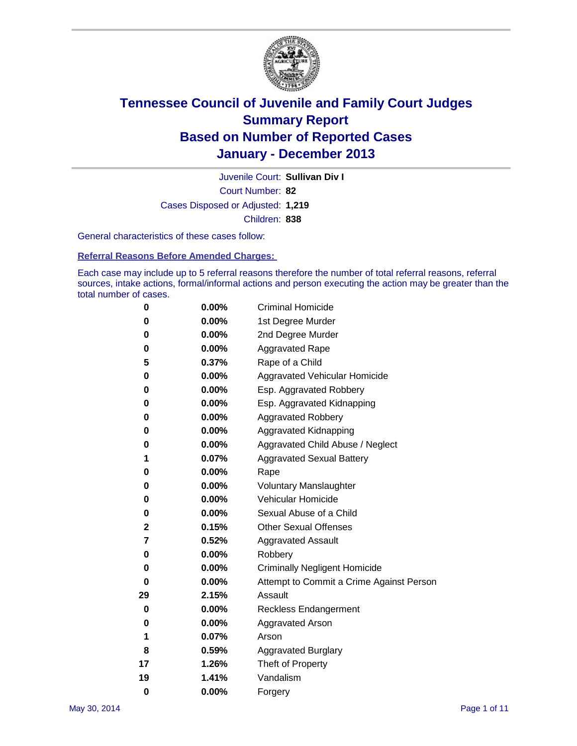

Court Number: **82** Juvenile Court: **Sullivan Div I** Cases Disposed or Adjusted: **1,219** Children: **838**

General characteristics of these cases follow:

**Referral Reasons Before Amended Charges:** 

Each case may include up to 5 referral reasons therefore the number of total referral reasons, referral sources, intake actions, formal/informal actions and person executing the action may be greater than the total number of cases.

| 0        | $0.00\%$ | <b>Criminal Homicide</b>                 |
|----------|----------|------------------------------------------|
| 0        | 0.00%    | 1st Degree Murder                        |
| 0        | 0.00%    | 2nd Degree Murder                        |
| 0        | $0.00\%$ | <b>Aggravated Rape</b>                   |
| 5        | 0.37%    | Rape of a Child                          |
| 0        | 0.00%    | <b>Aggravated Vehicular Homicide</b>     |
| 0        | $0.00\%$ | Esp. Aggravated Robbery                  |
| 0        | 0.00%    | Esp. Aggravated Kidnapping               |
| 0        | 0.00%    | <b>Aggravated Robbery</b>                |
| 0        | 0.00%    | Aggravated Kidnapping                    |
| 0        | 0.00%    | Aggravated Child Abuse / Neglect         |
| 1        | 0.07%    | <b>Aggravated Sexual Battery</b>         |
| 0        | $0.00\%$ | Rape                                     |
| 0        | 0.00%    | <b>Voluntary Manslaughter</b>            |
| 0        | 0.00%    | Vehicular Homicide                       |
| 0        | 0.00%    | Sexual Abuse of a Child                  |
| 2        | 0.15%    | <b>Other Sexual Offenses</b>             |
| 7        | 0.52%    | <b>Aggravated Assault</b>                |
| 0        | 0.00%    | Robbery                                  |
| 0        | 0.00%    | <b>Criminally Negligent Homicide</b>     |
| 0        | 0.00%    | Attempt to Commit a Crime Against Person |
| 29       | 2.15%    | Assault                                  |
| 0        | 0.00%    | <b>Reckless Endangerment</b>             |
| 0        | 0.00%    | <b>Aggravated Arson</b>                  |
| 1        | 0.07%    | Arson                                    |
| 8        | 0.59%    | <b>Aggravated Burglary</b>               |
| 17       | 1.26%    | Theft of Property                        |
| 19       | 1.41%    | Vandalism                                |
| $\bf{0}$ | 0.00%    | Forgery                                  |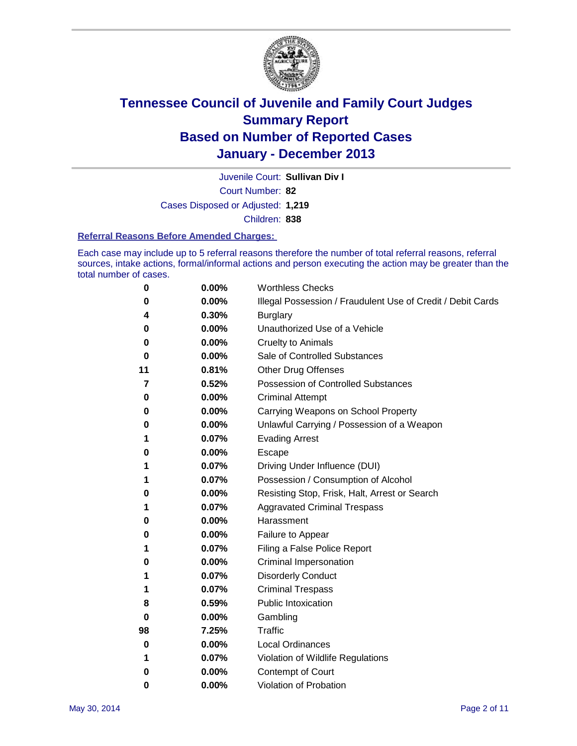

Court Number: **82** Juvenile Court: **Sullivan Div I** Cases Disposed or Adjusted: **1,219** Children: **838**

#### **Referral Reasons Before Amended Charges:**

Each case may include up to 5 referral reasons therefore the number of total referral reasons, referral sources, intake actions, formal/informal actions and person executing the action may be greater than the total number of cases.

| 0  | 0.00% | <b>Worthless Checks</b>                                     |
|----|-------|-------------------------------------------------------------|
| 0  | 0.00% | Illegal Possession / Fraudulent Use of Credit / Debit Cards |
| 4  | 0.30% | <b>Burglary</b>                                             |
| 0  | 0.00% | Unauthorized Use of a Vehicle                               |
| 0  | 0.00% | <b>Cruelty to Animals</b>                                   |
| 0  | 0.00% | Sale of Controlled Substances                               |
| 11 | 0.81% | <b>Other Drug Offenses</b>                                  |
| 7  | 0.52% | Possession of Controlled Substances                         |
| 0  | 0.00% | <b>Criminal Attempt</b>                                     |
| 0  | 0.00% | Carrying Weapons on School Property                         |
| 0  | 0.00% | Unlawful Carrying / Possession of a Weapon                  |
| 1  | 0.07% | <b>Evading Arrest</b>                                       |
| 0  | 0.00% | <b>Escape</b>                                               |
| 1  | 0.07% | Driving Under Influence (DUI)                               |
| 1  | 0.07% | Possession / Consumption of Alcohol                         |
| 0  | 0.00% | Resisting Stop, Frisk, Halt, Arrest or Search               |
| 1  | 0.07% | <b>Aggravated Criminal Trespass</b>                         |
| 0  | 0.00% | Harassment                                                  |
| 0  | 0.00% | Failure to Appear                                           |
| 1  | 0.07% | Filing a False Police Report                                |
| 0  | 0.00% | Criminal Impersonation                                      |
|    | 0.07% | <b>Disorderly Conduct</b>                                   |
| 1  | 0.07% | <b>Criminal Trespass</b>                                    |
| 8  | 0.59% | <b>Public Intoxication</b>                                  |
| 0  | 0.00% | Gambling                                                    |
| 98 | 7.25% | Traffic                                                     |
| 0  | 0.00% | <b>Local Ordinances</b>                                     |
| 1  | 0.07% | Violation of Wildlife Regulations                           |
| 0  | 0.00% | Contempt of Court                                           |
| 0  | 0.00% | Violation of Probation                                      |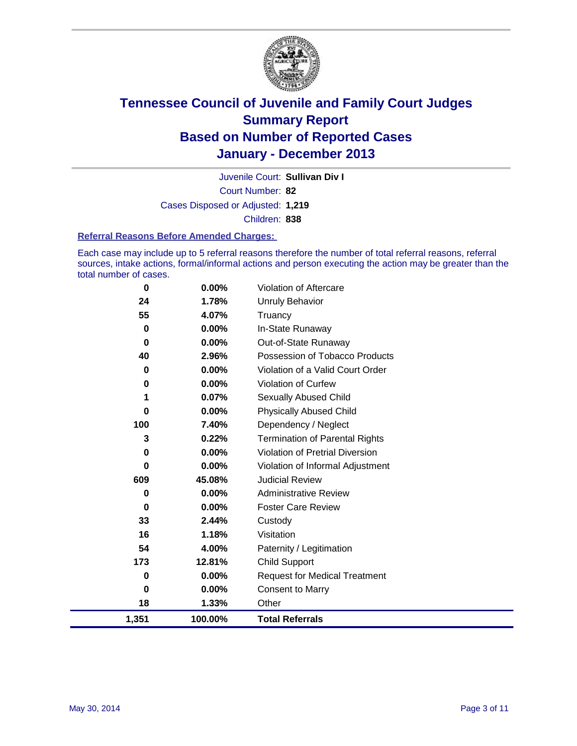

Court Number: **82** Juvenile Court: **Sullivan Div I** Cases Disposed or Adjusted: **1,219** Children: **838**

#### **Referral Reasons Before Amended Charges:**

Each case may include up to 5 referral reasons therefore the number of total referral reasons, referral sources, intake actions, formal/informal actions and person executing the action may be greater than the total number of cases.

| 0        | 0.00%    | <b>Violation of Aftercare</b>          |
|----------|----------|----------------------------------------|
| 24       | 1.78%    | <b>Unruly Behavior</b>                 |
| 55       | 4.07%    | Truancy                                |
| $\bf{0}$ | $0.00\%$ | In-State Runaway                       |
| 0        | $0.00\%$ | Out-of-State Runaway                   |
| 40       | 2.96%    | Possession of Tobacco Products         |
| 0        | 0.00%    | Violation of a Valid Court Order       |
| 0        | $0.00\%$ | Violation of Curfew                    |
| 1        | 0.07%    | <b>Sexually Abused Child</b>           |
| 0        | 0.00%    | <b>Physically Abused Child</b>         |
| 100      | 7.40%    | Dependency / Neglect                   |
| 3        | 0.22%    | <b>Termination of Parental Rights</b>  |
| 0        | 0.00%    | <b>Violation of Pretrial Diversion</b> |
| 0        | 0.00%    | Violation of Informal Adjustment       |
| 609      | 45.08%   | <b>Judicial Review</b>                 |
| 0        | $0.00\%$ | <b>Administrative Review</b>           |
| 0        | 0.00%    | <b>Foster Care Review</b>              |
| 33       | 2.44%    | Custody                                |
| 16       | 1.18%    | Visitation                             |
| 54       | 4.00%    | Paternity / Legitimation               |
| 173      | 12.81%   | <b>Child Support</b>                   |
| 0        | $0.00\%$ | <b>Request for Medical Treatment</b>   |
| 0        | 0.00%    | <b>Consent to Marry</b>                |
| 18       | 1.33%    | Other                                  |
| 1,351    | 100.00%  | <b>Total Referrals</b>                 |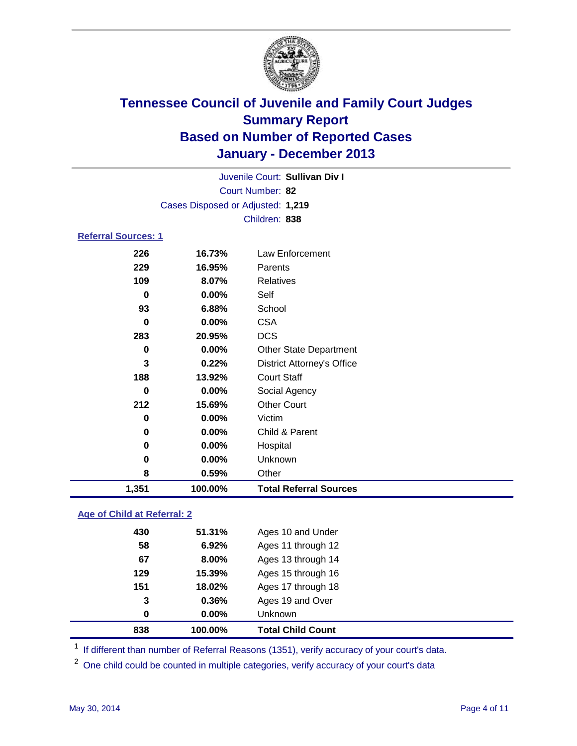

Court Number: **82** Juvenile Court: **Sullivan Div I** Cases Disposed or Adjusted: **1,219** Children: **838**

#### **Referral Sources: 1**

| 0<br>283<br>0<br>3<br>188<br>0<br>212<br>0<br>0<br>0<br>0<br>8 | 0.00%<br>20.95%<br>0.00%<br>0.22%<br>13.92%<br>0.00%<br>15.69%<br>0.00%<br>0.00%<br>0.00%<br>$0.00\%$<br>0.59% | <b>CSA</b><br><b>DCS</b><br><b>Other State Department</b><br><b>District Attorney's Office</b><br><b>Court Staff</b><br>Social Agency<br><b>Other Court</b><br>Victim<br>Child & Parent<br>Hospital<br>Unknown<br>Other |
|----------------------------------------------------------------|----------------------------------------------------------------------------------------------------------------|-------------------------------------------------------------------------------------------------------------------------------------------------------------------------------------------------------------------------|
|                                                                |                                                                                                                |                                                                                                                                                                                                                         |
|                                                                |                                                                                                                |                                                                                                                                                                                                                         |
|                                                                |                                                                                                                |                                                                                                                                                                                                                         |
|                                                                |                                                                                                                |                                                                                                                                                                                                                         |
|                                                                |                                                                                                                |                                                                                                                                                                                                                         |
|                                                                |                                                                                                                |                                                                                                                                                                                                                         |
|                                                                |                                                                                                                |                                                                                                                                                                                                                         |
|                                                                |                                                                                                                |                                                                                                                                                                                                                         |
|                                                                |                                                                                                                |                                                                                                                                                                                                                         |
|                                                                |                                                                                                                |                                                                                                                                                                                                                         |
|                                                                |                                                                                                                |                                                                                                                                                                                                                         |
|                                                                |                                                                                                                |                                                                                                                                                                                                                         |
| 93                                                             | 6.88%                                                                                                          | School                                                                                                                                                                                                                  |
| 0                                                              | 0.00%                                                                                                          | Self                                                                                                                                                                                                                    |
| 109                                                            | 8.07%                                                                                                          | Relatives                                                                                                                                                                                                               |
| 229                                                            | 16.95%                                                                                                         | Parents                                                                                                                                                                                                                 |
| 226                                                            | 16.73%                                                                                                         | Law Enforcement                                                                                                                                                                                                         |
|                                                                |                                                                                                                |                                                                                                                                                                                                                         |

### **Age of Child at Referral: 2**

| 0.00%  | Ages 19 and Over<br><b>Unknown</b> |
|--------|------------------------------------|
|        |                                    |
| 0.36%  |                                    |
| 18.02% | Ages 17 through 18                 |
| 15.39% | Ages 15 through 16                 |
| 8.00%  | Ages 13 through 14                 |
| 6.92%  | Ages 11 through 12                 |
| 51.31% | Ages 10 and Under                  |
|        |                                    |

<sup>1</sup> If different than number of Referral Reasons (1351), verify accuracy of your court's data.

<sup>2</sup> One child could be counted in multiple categories, verify accuracy of your court's data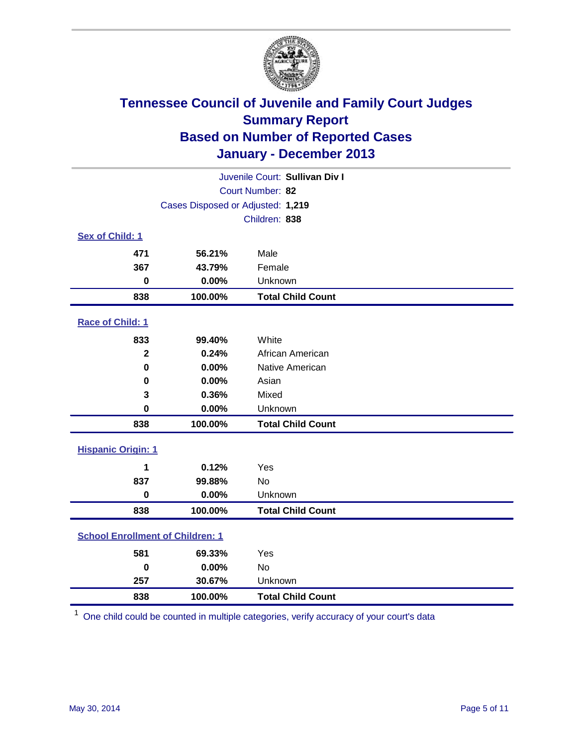

|                                         |                                   | Juvenile Court: Sullivan Div I |
|-----------------------------------------|-----------------------------------|--------------------------------|
|                                         |                                   | Court Number: 82               |
|                                         | Cases Disposed or Adjusted: 1,219 |                                |
|                                         | Children: 838                     |                                |
| Sex of Child: 1                         |                                   |                                |
| 471                                     | 56.21%                            | Male                           |
| 367                                     | 43.79%                            | Female                         |
| $\mathbf 0$                             | 0.00%                             | Unknown                        |
| 838                                     | 100.00%                           | <b>Total Child Count</b>       |
| Race of Child: 1                        |                                   |                                |
| 833                                     | 99.40%                            | White                          |
| $\overline{\mathbf{2}}$                 | 0.24%                             | African American               |
| $\bf{0}$                                | 0.00%                             | Native American                |
| 0                                       | 0.00%                             | Asian                          |
| 3                                       | 0.36%                             | Mixed                          |
| 0                                       | 0.00%                             | Unknown                        |
| 838                                     | 100.00%                           | <b>Total Child Count</b>       |
| <b>Hispanic Origin: 1</b>               |                                   |                                |
| 1                                       | 0.12%                             | Yes                            |
| 837                                     | 99.88%                            | <b>No</b>                      |
| $\bf{0}$                                | 0.00%                             | Unknown                        |
| 838                                     | 100.00%                           | <b>Total Child Count</b>       |
| <b>School Enrollment of Children: 1</b> |                                   |                                |
| 581                                     | 69.33%                            | Yes                            |
| $\bf{0}$                                | 0.00%                             | <b>No</b>                      |
| 257                                     | 30.67%                            | Unknown                        |
| 838                                     | 100.00%                           | <b>Total Child Count</b>       |

One child could be counted in multiple categories, verify accuracy of your court's data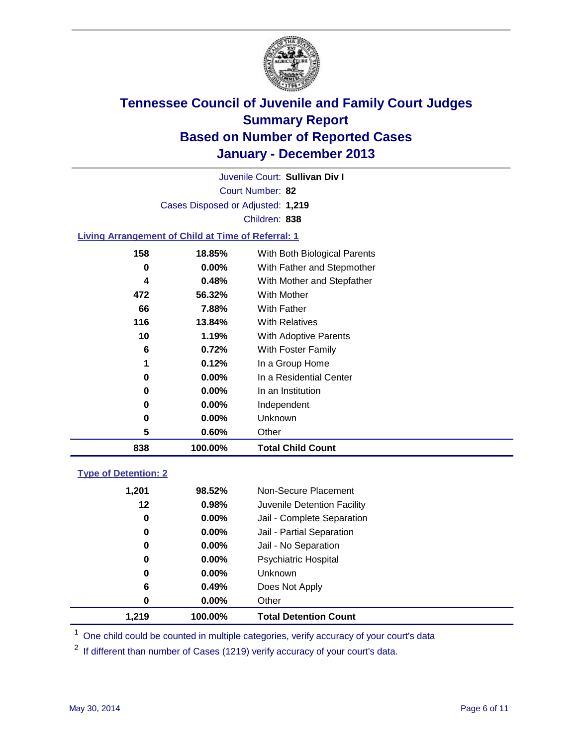

Court Number: **82** Juvenile Court: **Sullivan Div I** Cases Disposed or Adjusted: **1,219** Children: **838**

### **Living Arrangement of Child at Time of Referral: 1**

| 838 | 100.00%  | <b>Total Child Count</b>     |
|-----|----------|------------------------------|
| 5   | 0.60%    | Other                        |
| 0   | 0.00%    | Unknown                      |
| 0   | $0.00\%$ | Independent                  |
| 0   | $0.00\%$ | In an Institution            |
| 0   | $0.00\%$ | In a Residential Center      |
| 1   | 0.12%    | In a Group Home              |
| 6   | 0.72%    | With Foster Family           |
| 10  | 1.19%    | <b>With Adoptive Parents</b> |
| 116 | 13.84%   | <b>With Relatives</b>        |
| 66  | 7.88%    | With Father                  |
| 472 | 56.32%   | With Mother                  |
| 4   | 0.48%    | With Mother and Stepfather   |
| 0   | $0.00\%$ | With Father and Stepmother   |
| 158 | 18.85%   | With Both Biological Parents |
|     |          |                              |

### **Type of Detention: 2**

| 1.219 | 100.00%  | <b>Total Detention Count</b> |  |
|-------|----------|------------------------------|--|
| 0     | 0.00%    | Other                        |  |
| 6     | 0.49%    | Does Not Apply               |  |
| 0     | 0.00%    | <b>Unknown</b>               |  |
| 0     | $0.00\%$ | <b>Psychiatric Hospital</b>  |  |
| 0     | 0.00%    | Jail - No Separation         |  |
| 0     | $0.00\%$ | Jail - Partial Separation    |  |
| 0     | 0.00%    | Jail - Complete Separation   |  |
| 12    | 0.98%    | Juvenile Detention Facility  |  |
| 1,201 | 98.52%   | Non-Secure Placement         |  |
|       |          |                              |  |

<sup>1</sup> One child could be counted in multiple categories, verify accuracy of your court's data

<sup>2</sup> If different than number of Cases (1219) verify accuracy of your court's data.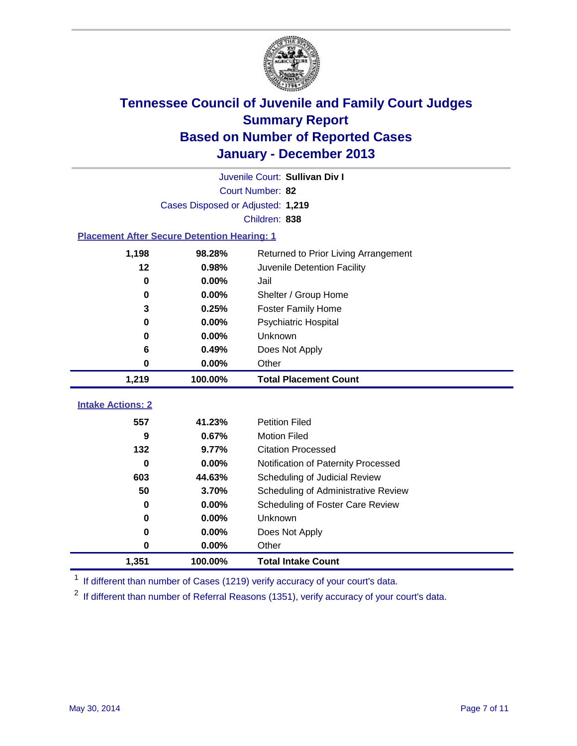

|                                                    |                                   | Juvenile Court: Sullivan Div I       |
|----------------------------------------------------|-----------------------------------|--------------------------------------|
|                                                    |                                   | Court Number: 82                     |
|                                                    | Cases Disposed or Adjusted: 1,219 |                                      |
|                                                    |                                   | Children: 838                        |
| <b>Placement After Secure Detention Hearing: 1</b> |                                   |                                      |
| 1,198                                              | 98.28%                            | Returned to Prior Living Arrangement |
| 12                                                 | 0.98%                             | Juvenile Detention Facility          |
| 0                                                  | 0.00%                             | Jail                                 |
| 0                                                  | 0.00%                             | Shelter / Group Home                 |
| 3                                                  | 0.25%                             | <b>Foster Family Home</b>            |
| 0                                                  | 0.00%                             | <b>Psychiatric Hospital</b>          |
| 0                                                  | 0.00%                             | Unknown                              |
| 6                                                  | 0.49%                             | Does Not Apply                       |
| 0                                                  | 0.00%                             | Other                                |
| 1,219                                              | 100.00%                           | <b>Total Placement Count</b>         |
|                                                    |                                   |                                      |
| <b>Intake Actions: 2</b>                           |                                   |                                      |
| 557                                                | 41.23%                            | <b>Petition Filed</b>                |
| 9                                                  | 0.67%                             | <b>Motion Filed</b>                  |
| 132                                                | 9.77%                             | <b>Citation Processed</b>            |
| $\bf{0}$                                           | 0.00%                             | Notification of Paternity Processed  |
| 603                                                | 44.63%                            | Scheduling of Judicial Review        |
| 50                                                 | 3.70%                             | Scheduling of Administrative Review  |
| 0                                                  | 0.00%                             | Scheduling of Foster Care Review     |
| 0                                                  | 0.00%                             | Unknown                              |
| 0                                                  | 0.00%                             | Does Not Apply                       |
| 0                                                  | 0.00%                             | Other                                |
| 1,351                                              | 100.00%                           | <b>Total Intake Count</b>            |

<sup>1</sup> If different than number of Cases (1219) verify accuracy of your court's data.

 $2$  If different than number of Referral Reasons (1351), verify accuracy of your court's data.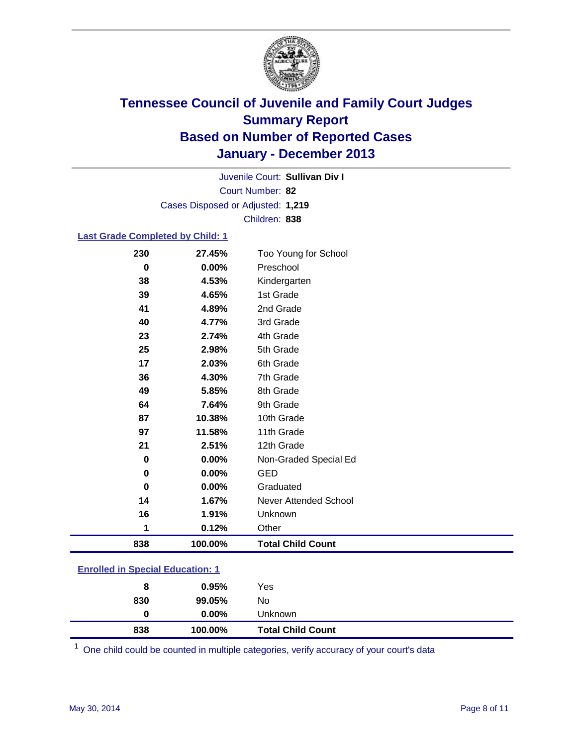

Court Number: **82** Juvenile Court: **Sullivan Div I** Cases Disposed or Adjusted: **1,219** Children: **838**

### **Last Grade Completed by Child: 1**

| 230      | 27.45%  | Too Young for School     |
|----------|---------|--------------------------|
| $\bf{0}$ | 0.00%   | Preschool                |
| 38       | 4.53%   | Kindergarten             |
| 39       | 4.65%   | 1st Grade                |
| 41       | 4.89%   | 2nd Grade                |
| 40       | 4.77%   | 3rd Grade                |
| 23       | 2.74%   | 4th Grade                |
| 25       | 2.98%   | 5th Grade                |
| 17       | 2.03%   | 6th Grade                |
| 36       | 4.30%   | 7th Grade                |
| 49       | 5.85%   | 8th Grade                |
| 64       | 7.64%   | 9th Grade                |
| 87       | 10.38%  | 10th Grade               |
| 97       | 11.58%  | 11th Grade               |
| 21       | 2.51%   | 12th Grade               |
| $\bf{0}$ | 0.00%   | Non-Graded Special Ed    |
| 0        | 0.00%   | <b>GED</b>               |
| $\bf{0}$ | 0.00%   | Graduated                |
| 14       | 1.67%   | Never Attended School    |
| 16       | 1.91%   | Unknown                  |
| 1        | 0.12%   | Other                    |
| 838      | 100.00% | <b>Total Child Count</b> |

| <b>Enrolled in Special Education: 1</b> |  |
|-----------------------------------------|--|
|-----------------------------------------|--|

| 838 | 100.00%  | <b>Total Child Count</b> |  |
|-----|----------|--------------------------|--|
| 0   | $0.00\%$ | <b>Unknown</b>           |  |
| 830 | 99.05%   | No                       |  |
| 8   | $0.95\%$ | Yes                      |  |
|     |          |                          |  |

One child could be counted in multiple categories, verify accuracy of your court's data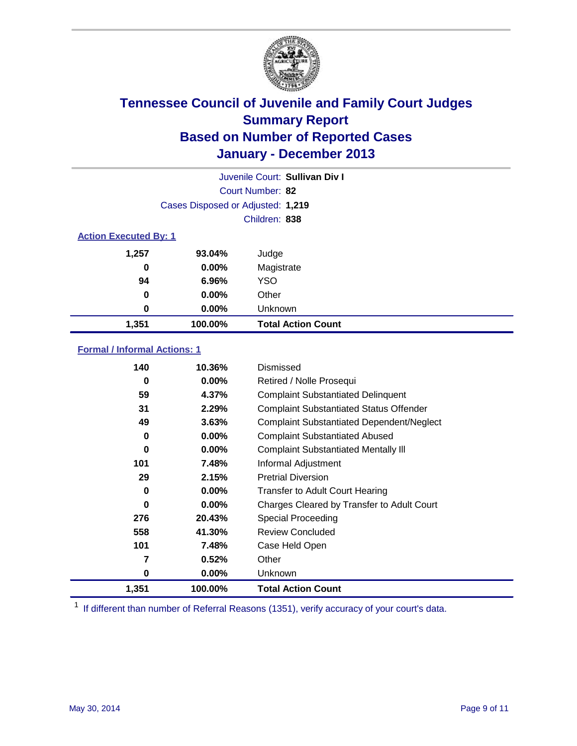

|                              |                                   | Juvenile Court: Sullivan Div I |
|------------------------------|-----------------------------------|--------------------------------|
|                              |                                   | Court Number: 82               |
|                              | Cases Disposed or Adjusted: 1,219 |                                |
|                              |                                   | Children: 838                  |
| <b>Action Executed By: 1</b> |                                   |                                |
| 1,257                        | 93.04%                            | Judge                          |
| 0                            | $0.00\%$                          | Magistrate                     |
| 94                           | 6.96%                             | <b>YSO</b>                     |
| 0                            | $0.00\%$                          | Other                          |
| 0                            | $0.00\%$                          | Unknown                        |
| 1,351                        | 100.00%                           | <b>Total Action Count</b>      |

### **Formal / Informal Actions: 1**

| 140   | 10.36%   | Dismissed                                        |
|-------|----------|--------------------------------------------------|
| 0     | $0.00\%$ | Retired / Nolle Prosequi                         |
| 59    | 4.37%    | <b>Complaint Substantiated Delinquent</b>        |
| 31    | 2.29%    | <b>Complaint Substantiated Status Offender</b>   |
| 49    | 3.63%    | <b>Complaint Substantiated Dependent/Neglect</b> |
| 0     | $0.00\%$ | <b>Complaint Substantiated Abused</b>            |
| 0     | $0.00\%$ | <b>Complaint Substantiated Mentally III</b>      |
| 101   | 7.48%    | Informal Adjustment                              |
| 29    | 2.15%    | <b>Pretrial Diversion</b>                        |
| 0     | $0.00\%$ | <b>Transfer to Adult Court Hearing</b>           |
| 0     | $0.00\%$ | Charges Cleared by Transfer to Adult Court       |
| 276   | 20.43%   | Special Proceeding                               |
| 558   | 41.30%   | <b>Review Concluded</b>                          |
| 101   | 7.48%    | Case Held Open                                   |
| 7     | 0.52%    | Other                                            |
| 0     | $0.00\%$ | Unknown                                          |
| 1,351 | 100.00%  | <b>Total Action Count</b>                        |

<sup>1</sup> If different than number of Referral Reasons (1351), verify accuracy of your court's data.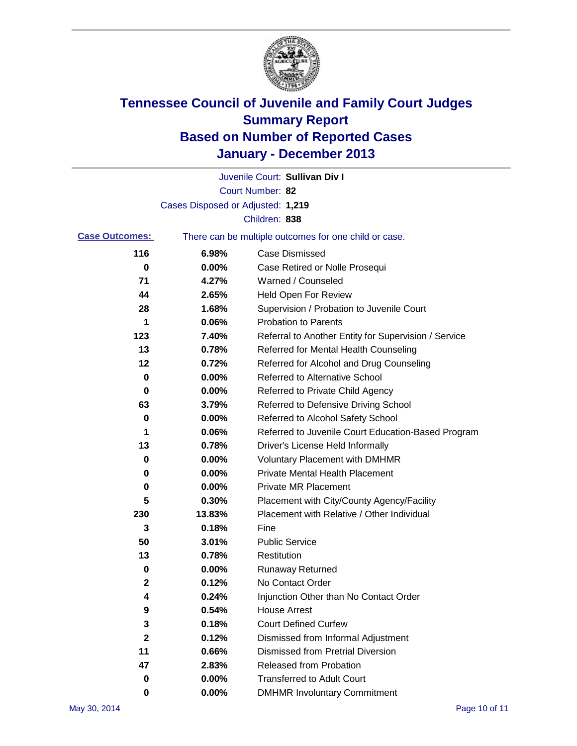

|                       |                                   | Juvenile Court: Sullivan Div I                        |
|-----------------------|-----------------------------------|-------------------------------------------------------|
|                       |                                   | Court Number: 82                                      |
|                       | Cases Disposed or Adjusted: 1,219 |                                                       |
|                       |                                   | Children: 838                                         |
| <b>Case Outcomes:</b> |                                   | There can be multiple outcomes for one child or case. |
| 116                   | 6.98%                             | <b>Case Dismissed</b>                                 |
| 0                     | $0.00\%$                          | Case Retired or Nolle Prosequi                        |
| 71                    | 4.27%                             | Warned / Counseled                                    |
| 44                    | 2.65%                             | Held Open For Review                                  |
| 28                    | 1.68%                             | Supervision / Probation to Juvenile Court             |
| 1                     | 0.06%                             | <b>Probation to Parents</b>                           |
| 123                   | 7.40%                             | Referral to Another Entity for Supervision / Service  |
| 13                    | 0.78%                             | Referred for Mental Health Counseling                 |
| 12                    | 0.72%                             | Referred for Alcohol and Drug Counseling              |
| 0                     | 0.00%                             | Referred to Alternative School                        |
| 0                     | 0.00%                             | Referred to Private Child Agency                      |
| 63                    | 3.79%                             | Referred to Defensive Driving School                  |
| 0                     | 0.00%                             | Referred to Alcohol Safety School                     |
| 1                     | 0.06%                             | Referred to Juvenile Court Education-Based Program    |
| 13                    | 0.78%                             | Driver's License Held Informally                      |
| 0                     | 0.00%                             | <b>Voluntary Placement with DMHMR</b>                 |
| 0                     | 0.00%                             | <b>Private Mental Health Placement</b>                |
| 0                     | 0.00%                             | <b>Private MR Placement</b>                           |
| 5                     | 0.30%                             | Placement with City/County Agency/Facility            |
| 230                   | 13.83%                            | Placement with Relative / Other Individual            |
| 3                     | 0.18%                             | Fine                                                  |
| 50                    | 3.01%                             | <b>Public Service</b>                                 |
| 13                    | 0.78%                             | Restitution                                           |
| 0                     | 0.00%                             | <b>Runaway Returned</b>                               |
| 2                     | 0.12%                             | No Contact Order                                      |
| 4                     | 0.24%                             | Injunction Other than No Contact Order                |
| 9                     | 0.54%                             | <b>House Arrest</b>                                   |
| 3                     | 0.18%                             | <b>Court Defined Curfew</b>                           |
| 2                     | 0.12%                             | Dismissed from Informal Adjustment                    |
| 11                    | 0.66%                             | <b>Dismissed from Pretrial Diversion</b>              |
| 47                    | 2.83%                             | Released from Probation                               |
| 0                     | 0.00%                             | <b>Transferred to Adult Court</b>                     |
| 0                     | 0.00%                             | <b>DMHMR Involuntary Commitment</b>                   |